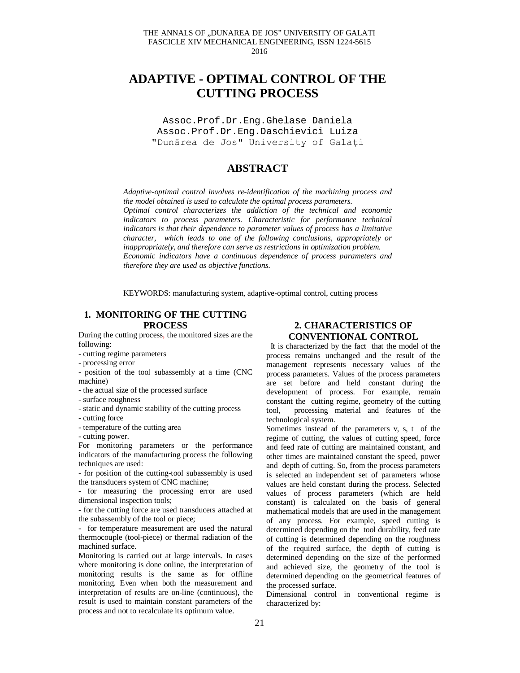# **ADAPTIVE - OPTIMAL CONTROL OF THE CUTTING PROCESS**

Assoc.Prof.Dr.Eng.Ghelase Daniela Assoc.Prof.Dr.Eng**.**Daschievici Luiza "Dunărea de Jos" University of Galați

## **ABSTRACT**

*Adaptive-optimal control involves re-identification of the machining process and the model obtained is used to calculate the optimal process parameters. Optimal control characterizes the addiction of the technical and economic indicators to process parameters. Characteristic for performance technical indicators is that their dependence to parameter values of process has a limitative character, which leads to one of the following conclusions, appropriately or inappropriately, and therefore can serve as restrictions in optimization problem. Economic indicators have a continuous dependence of process parameters and therefore they are used as objective functions.*

KEYWORDS: manufacturing system, adaptive-optimal control, cutting process

## **1. MONITORING OF THE CUTTING PROCESS**

During the cutting process, the monitored sizes are the following:

- cutting regime parameters
- processing error
- position of the tool subassembly at a time (CNC machine)
- the actual size of the processed surface
- surface roughness
- static and dynamic stability of the cutting process
- cutting force
- temperature of the cutting area

- cutting power.

For monitoring parameters or the performance indicators of the manufacturing process the following techniques are used:

- for position of the cutting-tool subassembly is used the transducers system of CNC machine;

- for measuring the processing error are used dimensional inspection tools;

- for the cutting force are used transducers attached at the subassembly of the tool or piece;

- for temperature measurement are used the natural thermocouple (tool-piece) or thermal radiation of the machined surface.

Monitoring is carried out at large intervals. In cases where monitoring is done online, the interpretation of monitoring results is the same as for offline monitoring. Even when both the measurement and interpretation of results are on-line (continuous), the result is used to maintain constant parameters of the process and not to recalculate its optimum value.

#### **2. CHARACTERISTICS OF CONVENTIONAL CONTROL**

It is characterized by the fact that the model of the process remains unchanged and the result of the management represents necessary values of the process parameters. Values of the process parameters are set before and held constant during the development of process. For example, remain | constant the cutting regime, geometry of the cutting tool, processing material and features of the technological system.

Sometimes instead of the parameters v, s, t of the regime of cutting, the values of cutting speed, force and feed rate of cutting are maintained constant, and other times are maintained constant the speed, power and depth of cutting. So, from the process parameters is selected an independent set of parameters whose values are held constant during the process. Selected values of process parameters (which are held constant) is calculated on the basis of general mathematical models that are used in the management of any process. For example, speed cutting is determined depending on the tool durability, feed rate of cutting is determined depending on the roughness of the required surface, the depth of cutting is determined depending on the size of the performed and achieved size, the geometry of the tool is determined depending on the geometrical features of the processed surface.

Dimensional control in conventional regime is characterized by: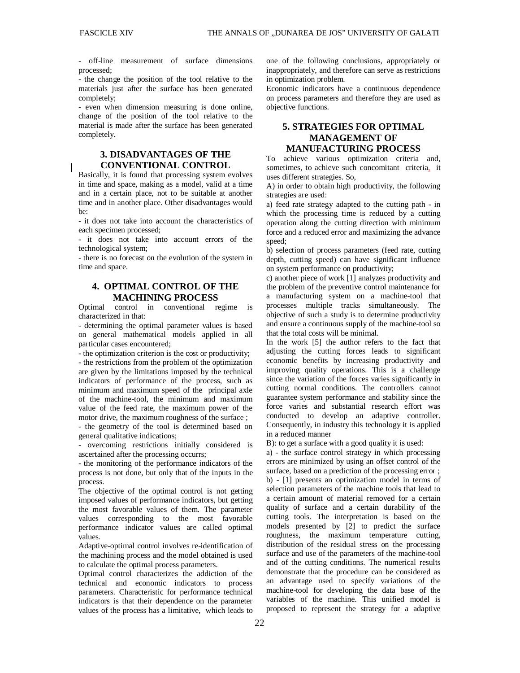- off-line measurement of surface dimensions processed;

- the change the position of the tool relative to the materials just after the surface has been generated completely;

- even when dimension measuring is done online, change of the position of the tool relative to the material is made after the surface has been generated completely.

## **3. DISADVANTAGES OF THE CONVENTIONAL CONTROL**

Basically, it is found that processing system evolves in time and space, making as a model, valid at a time and in a certain place, not to be suitable at another time and in another place. Other disadvantages would be:

- it does not take into account the characteristics of each specimen processed;

- it does not take into account errors of the technological system;

- there is no forecast on the evolution of the system in time and space.

## **4. OPTIMAL CONTROL OF THE MACHINING PROCESS**

Optimal control in conventional regime is characterized in that:

- determining the optimal parameter values is based on general mathematical models applied in all particular cases encountered;

- the optimization criterion is the cost or productivity;

- the restrictions from the problem of the optimization are given by the limitations imposed by the technical indicators of performance of the process, such as minimum and maximum speed of the principal axle of the machine-tool, the minimum and maximum value of the feed rate, the maximum power of the motor drive, the maximum roughness of the surface ;

- the geometry of the tool is determined based on general qualitative indications;

- overcoming restrictions initially considered is ascertained after the processing occurrs;

- the monitoring of the performance indicators of the process is not done, but only that of the inputs in the process.

The objective of the optimal control is not getting imposed values of performance indicators, but getting the most favorable values of them. The parameter values corresponding to the most favorable performance indicator values are called optimal values.

Adaptive-optimal control involves re-identification of the machining process and the model obtained is used to calculate the optimal process parameters.

Optimal control characterizes the addiction of the technical and economic indicators to process parameters. Characteristic for performance technical indicators is that their dependence on the parameter values of the process has a limitative, which leads to

one of the following conclusions, appropriately or inappropriately, and therefore can serve as restrictions in optimization problem.

Economic indicators have a continuous dependence on process parameters and therefore they are used as objective functions.

#### **5. STRATEGIES FOR OPTIMAL MANAGEMENT OF MANUFACTURING PROCESS**

To achieve various optimization criteria and, sometimes, to achieve such concomitant criteria, it uses different strategies. So,

A) in order to obtain high productivity, the following strategies are used:

a) feed rate strategy adapted to the cutting path - in which the processing time is reduced by a cutting operation along the cutting direction with minimum force and a reduced error and maximizing the advance speed;

b) selection of process parameters (feed rate, cutting depth, cutting speed) can have significant influence on system performance on productivity;

c) another piece of work [1] analyzes productivity and the problem of the preventive control maintenance for a manufacturing system on a machine-tool that processes multiple tracks simultaneously. The objective of such a study is to determine productivity and ensure a continuous supply of the machine-tool so that the total costs will be minimal.

In the work [5] the author refers to the fact that adjusting the cutting forces leads to significant economic benefits by increasing productivity and improving quality operations. This is a challenge since the variation of the forces varies significantly in cutting normal conditions. The controllers cannot guarantee system performance and stability since the force varies and substantial research effort was conducted to develop an adaptive controller. Consequently, in industry this technology it is applied in a reduced manner

B): to get a surface with a good quality it is used:

a) - the surface control strategy in which processing errors are minimized by using an offset control of the surface, based on a prediction of the processing error; b) - [1] presents an optimization model in terms of selection parameters of the machine tools that lead to a certain amount of material removed for a certain quality of surface and a certain durability of the cutting tools. The interpretation is based on the models presented by [2] to predict the surface roughness, the maximum temperature cutting, distribution of the residual stress on the processing surface and use of the parameters of the machine-tool and of the cutting conditions. The numerical results demonstrate that the procedure can be considered as an advantage used to specify variations of the machine-tool for developing the data base of the variables of the machine. This unified model is proposed to represent the strategy for a adaptive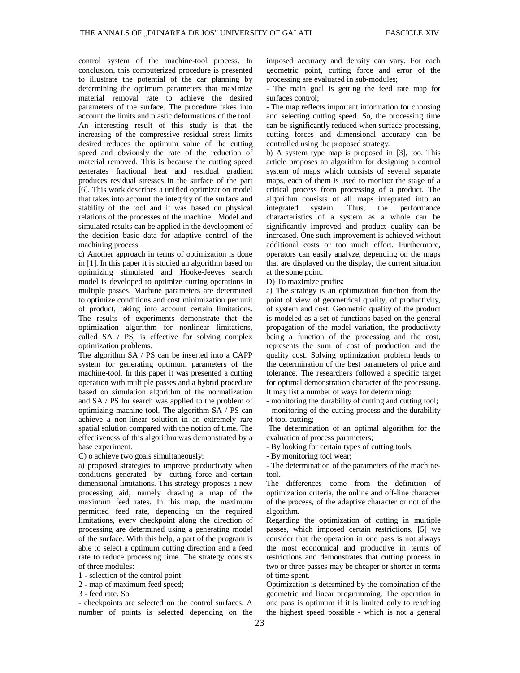control system of the machine-tool process. In conclusion, this computerized procedure is presented to illustrate the potential of the car planning by determining the optimum parameters that maximize material removal rate to achieve the desired parameters of the surface. The procedure takes into account the limits and plastic deformations of the tool. An interesting result of this study is that the increasing of the compressive residual stress limits desired reduces the optimum value of the cutting speed and obviously the rate of the reduction of material removed. This is because the cutting speed generates fractional heat and residual gradient produces residual stresses in the surface of the part [6]. This work describes a unified optimization model that takes into account the integrity of the surface and stability of the tool and it was based on physical relations of the processes of the machine. Model and simulated results can be applied in the development of the decision basic data for adaptive control of the machining process.

c) Another approach in terms of optimization is done in [1]. In this paper it is studied an algorithm based on optimizing stimulated and Hooke-Jeeves search model is developed to optimize cutting operations in multiple passes. Machine parameters are determined to optimize conditions and cost minimization per unit of product, taking into account certain limitations. The results of experiments demonstrate that the optimization algorithm for nonlinear limitations, called SA  $/$  PS, is effective for solving complex optimization problems.

The algorithm SA / PS can be inserted into a CAPP system for generating optimum parameters of the machine-tool. In this paper it was presented a cutting operation with multiple passes and a hybrid procedure based on simulation algorithm of the normalization and SA / PS for search was applied to the problem of optimizing machine tool. The algorithm SA / PS can achieve a non-linear solution in an extremely rare spatial solution compared with the notion of time. The effectiveness of this algorithm was demonstrated by a base experiment.

C) o achieve two goals simultaneously:

a) proposed strategies to improve productivity when conditions generated by cutting force and certain dimensional limitations. This strategy proposes a new processing aid, namely drawing a map of the maximum feed rates. In this map, the maximum permitted feed rate, depending on the required limitations, every checkpoint along the direction of processing are determined using a generating model of the surface. With this help, a part of the program is able to select a optimum cutting direction and a feed rate to reduce processing time. The strategy consists of three modules:

1 - selection of the control point;

2 - map of maximum feed speed;

3 - feed rate. So:

- checkpoints are selected on the control surfaces. A number of points is selected depending on the

imposed accuracy and density can vary. For each geometric point, cutting force and error of the processing are evaluated in sub-modules;

- The main goal is getting the feed rate map for surfaces control;

- The map reflects important information for choosing and selecting cutting speed. So, the processing time can be significantly reduced when surface processing, cutting forces and dimensional accuracy can be controlled using the proposed strategy.

b) A system type map is proposed in [3], too. This article proposes an algorithm for designing a control system of maps which consists of several separate maps, each of them is used to monitor the stage of a critical process from processing of a product. The algorithm consists of all maps integrated into an integrated system. Thus, the performance characteristics of a system as a whole can be significantly improved and product quality can be increased. One such improvement is achieved without additional costs or too much effort. Furthermore, operators can easily analyze, depending on the maps that are displayed on the display, the current situation at the some point.

D) To maximize profits:

a) The strategy is an optimization function from the point of view of geometrical quality, of productivity, of system and cost. Geometric quality of the product is modeled as a set of functions based on the general propagation of the model variation, the productivity being a function of the processing and the cost, represents the sum of cost of production and the quality cost. Solving optimization problem leads to the determination of the best parameters of price and tolerance. The researchers followed a specific target for optimal demonstration character of the processing. It may list a number of ways for determining:

- monitoring the durability of cutting and cutting tool; - monitoring of the cutting process and the durability of tool cutting;

The determination of an optimal algorithm for the evaluation of process parameters;

- By looking for certain types of cutting tools;

- By monitoring tool wear;

- The determination of the parameters of the machinetool.

The differences come from the definition of optimization criteria, the online and off-line character of the process, of the adaptive character or not of the algorithm.

Regarding the optimization of cutting in multiple passes, which imposed certain restrictions, [5] we consider that the operation in one pass is not always the most economical and productive in terms of restrictions and demonstrates that cutting process in two or three passes may be cheaper or shorter in terms of time spent.

Optimization is determined by the combination of the geometric and linear programming. The operation in one pass is optimum if it is limited only to reaching the highest speed possible - which is not a general